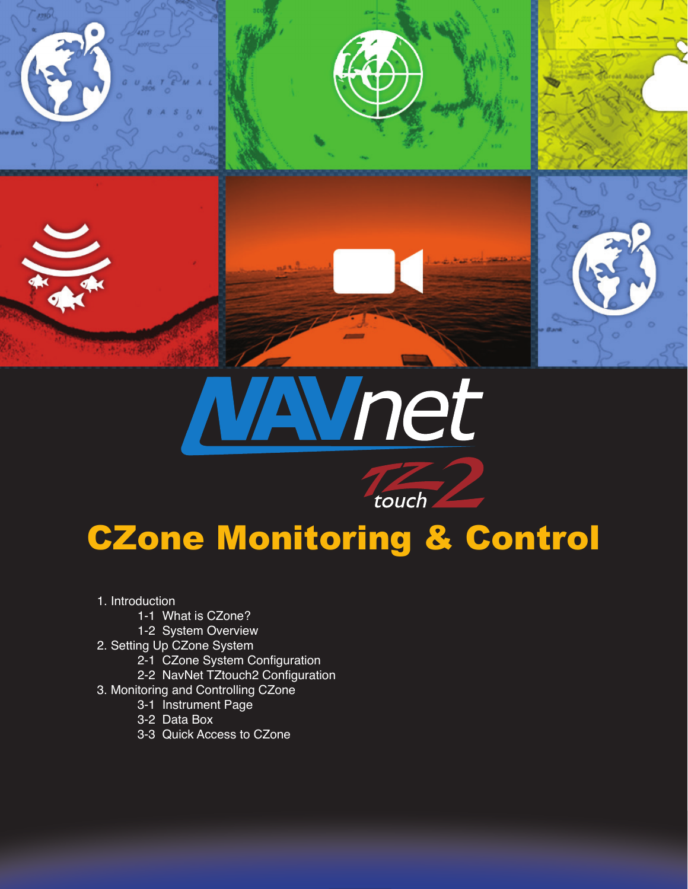





touch

- 1. Introduction
	- 1-1 What is CZone?
	- 1-2 System Overview
- 2. Setting Up CZone System
	- 2-1 CZone System Configuration
	- 2-2 NavNet TZtouch2 Configuration
- 3. Monitoring and Controlling CZone
	- 3-1 Instrument Page
	- 3-2 Data Box
	- 3-3 Quick Access to CZone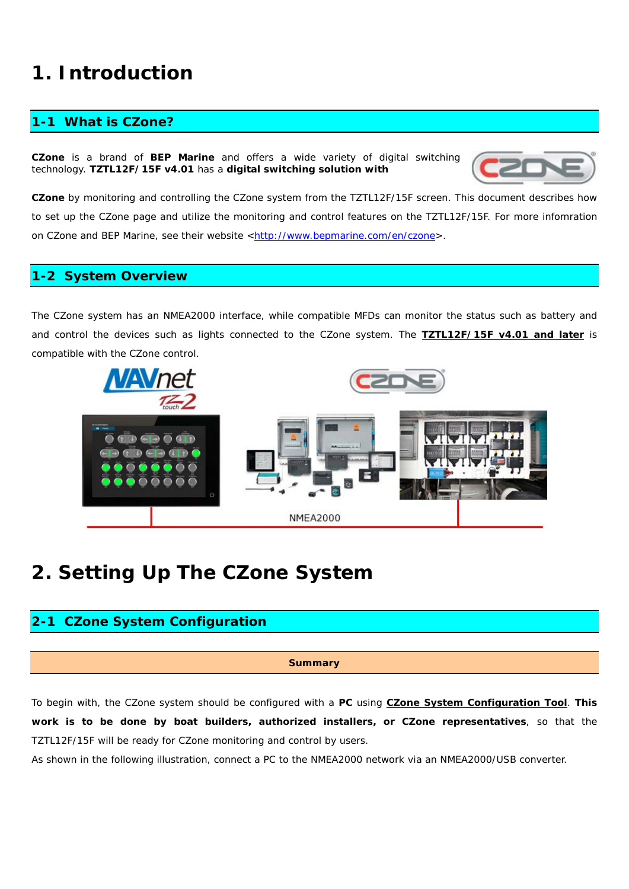# **1. Introduction**

# **1-1 What is CZone?**

**CZone** is a brand of **BEP Marine** and offers a wide variety of digital switching technology. **TZTL12F/15F v4.01** has a **digital switching solution with** 



**CZone** by monitoring and controlling the CZone system from the TZTL12F/15F screen. This document describes how to set up the CZone page and utilize the monitoring and control features on the TZTL12F/15F. For more infomration on CZone and BEP Marine, see their website [<http://www.bepmarine.com/en/czone>](http://www.bepmarine.com/en/czone).

### **1-2 System Overview**

The CZone system has an NMEA2000 interface, while compatible MFDs can monitor the status such as battery and and control the devices such as lights connected to the CZone system. The **TZTL12F/15F v4.01 and later** is compatible with the CZone control.



# **2. Setting Up The CZone System**

# **2-1 CZone System Configuration**

#### **Summary**

To begin with, the CZone system should be configured with a **PC** using **CZone System Configuration Tool**. **This work is to be done by boat builders, authorized installers, or CZone representatives**, so that the TZTL12F/15F will be ready for CZone monitoring and control by users.

As shown in the following illustration, connect a PC to the NMEA2000 network via an NMEA2000/USB converter.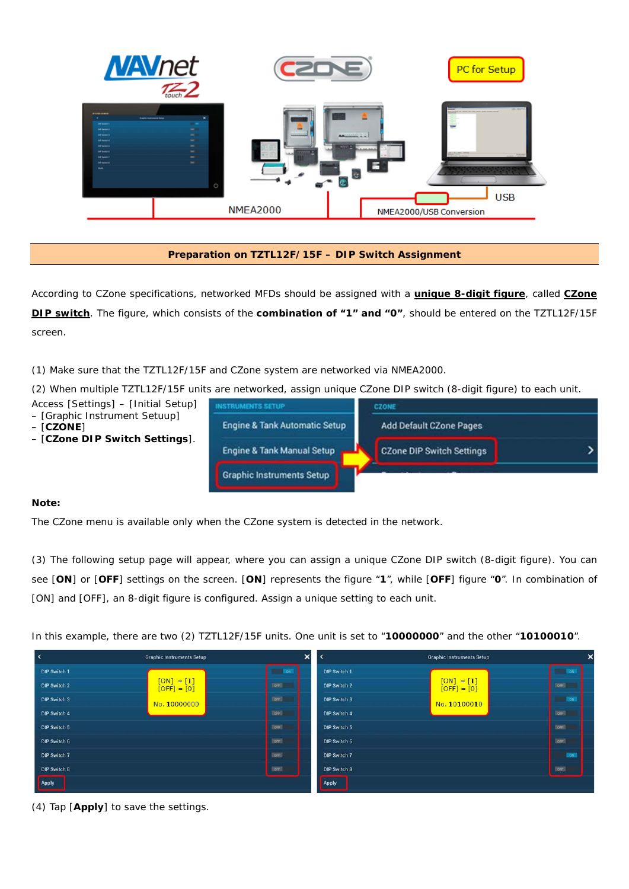|                                                                                                                                                                                                                                        | <b>NAV</b> net                                                                                           |                                | PC for Setup                                                                                                                                                                   |
|----------------------------------------------------------------------------------------------------------------------------------------------------------------------------------------------------------------------------------------|----------------------------------------------------------------------------------------------------------|--------------------------------|--------------------------------------------------------------------------------------------------------------------------------------------------------------------------------|
| <b><i>WILLIAMS</i></b><br><b>DIF Series</b><br><b>DF Selen 2</b><br><b>DF Select 3</b><br><b>DIP Series of</b><br><b>DF Delta S</b><br><b>DF Select 6</b><br><b>SIP Switch ?</b><br><b>DP Select &amp;</b><br>$\overline{\phantom{a}}$ | <b>Uraphic Instruments Selup</b><br>-<br>$\sim$<br>$-$<br>$-$<br>-<br>$\overline{\phantom{a}}$<br>$\sim$ | 49,999,99<br><b>Maria Card</b> | <b>10-20-2</b><br>and the control of the control of the control of the con-<br>AMANGGAZIAN<br><b>LAST ANTICAR</b><br><b>Home Card</b><br>$\overline{\mathbf{C}}$<br><b>USB</b> |
|                                                                                                                                                                                                                                        |                                                                                                          | <b>NMEA2000</b>                | NMEA2000/USB Conversion                                                                                                                                                        |

### **Preparation on TZTL12F/15F – DIP Switch Assignment**

According to CZone specifications, networked MFDs should be assigned with a **unique 8-digit figure**, called **CZone DIP switch**. The figure, which consists of the **combination of "1" and "0"**, should be entered on the TZTL12F/15F screen.

(1) Make sure that the TZTL12F/15F and CZone system are networked via NMEA2000.

(2) When multiple TZTL12F/15F units are networked, assign unique CZone DIP switch (8-digit figure) to each unit.

- Access [Settings] [Initial Setup]
- [Graphic Instrument Setuup]
- [**CZONE**]
- [**CZone DIP Switch Settings**].



#### **Note:**

The CZone menu is available only when the CZone system is detected in the network.

(3) The following setup page will appear, where you can assign a unique CZone DIP switch (8-digit figure). You can see [**ON**] or [**OFF**] settings on the screen. [**ON**] represents the figure "**1**", while [**OFF**] figure "**0**". In combination of [ON] and [OFF], an 8-digit figure is configured. Assign a unique setting to each unit.

In this example, there are two (2) TZTL12F/15F units. One unit is set to "**10000000**" and the other "**10100010**".

|                     | <b>Graphic Instruments Setup</b> | ×            | $\overline{\phantom{a}}$ | <b>Graphic Instruments Setup</b> |             |  |
|---------------------|----------------------------------|--------------|--------------------------|----------------------------------|-------------|--|
| DIP Switch 1        |                                  | <b>BON</b>   | DIP Switch 1             |                                  | ON          |  |
| <b>DIP Switch 2</b> | $[ON] = [1]$<br>$[OFF] = [0]$    | OFF          | <b>DIP Switch 2</b>      | $[ON] = [1]$<br>$[OFF] = [0]$    | <b>TORE</b> |  |
| <b>DIP Switch 3</b> | No. 10000000                     | lore!        | DIP Switch 3             | No. 10100010                     | EOM         |  |
| DIP Switch 4        |                                  | <b>OFF</b>   | DIP Switch 4             |                                  | <b>OFF</b>  |  |
| DIP Switch 5        |                                  | <b>LOEE</b>  | DIP Switch 5             |                                  | <b>DEE</b>  |  |
| DIP Switch 6        |                                  | <b>Lore</b>  | DIP Switch 6             |                                  | orr         |  |
| <b>DIP Switch 7</b> |                                  | <b>EDITE</b> | DIP Switch 7             |                                  | $1$ ON      |  |
| DIP Switch 8        |                                  | <b>DOFF</b>  | DIP Switch 8             |                                  | <b>DOFF</b> |  |
| Apply               |                                  |              | Apply                    |                                  |             |  |

(4) Tap [**Apply**] to save the settings.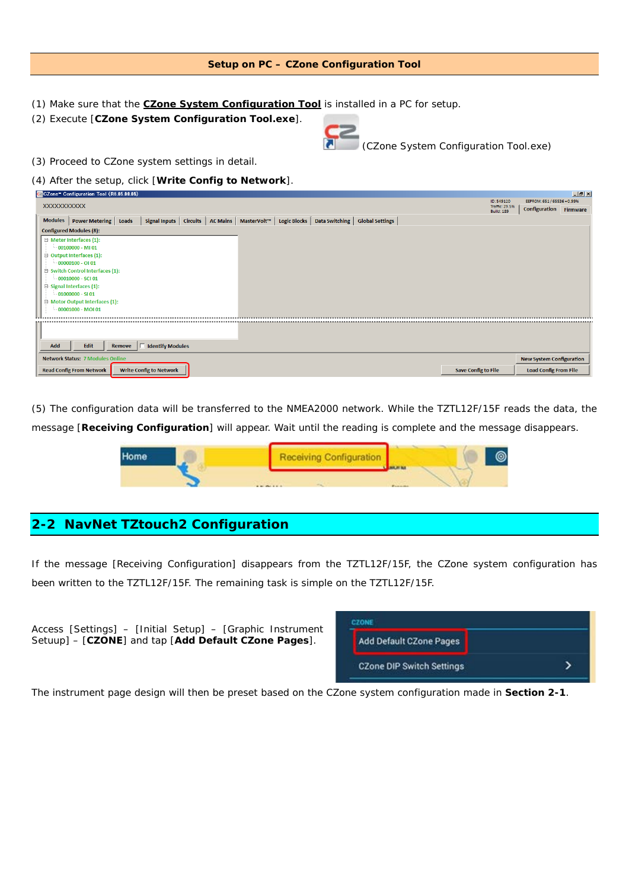#### **Setup on PC – CZone Configuration Tool**

- (1) Make sure that the **CZone System Configuration Tool** is installed in a PC for setup.
- (2) Execute [**CZone System Configuration Tool.exe**].



*(CZone System Configuration Tool.exe)*

- (3) Proceed to CZone system settings in detail.
- (4) After the setup, click [**Write Config to Network**].

|     | CZone" Configuration Tool (R6.05.08.05) |        |                                |  |                                     |                                                                          |          |                            |            |                                 | $ P$ $\times$ |
|-----|-----------------------------------------|--------|--------------------------------|--|-------------------------------------|--------------------------------------------------------------------------|----------|----------------------------|------------|---------------------------------|---------------|
|     |                                         |        |                                |  |                                     |                                                                          |          |                            | ID: 549120 | EEPROM: 651 / 65536 = 0.99%     |               |
|     | <b>XXXXXXXXXXX</b>                      |        |                                |  | Traffic: 29.5%<br><b>Build: 189</b> | Configuration                                                            | Firmware |                            |            |                                 |               |
|     | Modules   Power Metering   Loads        |        | Signal Inputs   Circuits       |  |                                     | AC Mains   MasterVolt™   Logic Blocks   Data Switching   Global Settings |          |                            |            |                                 |               |
|     |                                         |        |                                |  |                                     |                                                                          |          |                            |            |                                 |               |
|     | <b>Configured Modules (8):</b>          |        |                                |  |                                     |                                                                          |          |                            |            |                                 |               |
|     | □ Meter Interfaces (1):                 |        |                                |  |                                     |                                                                          |          |                            |            |                                 |               |
|     | $-00100000 - M101$                      |        |                                |  |                                     |                                                                          |          |                            |            |                                 |               |
|     | Output Interfaces (1):                  |        |                                |  |                                     |                                                                          |          |                            |            |                                 |               |
|     | $-00000100 - 0101$                      |        |                                |  |                                     |                                                                          |          |                            |            |                                 |               |
|     | □ Switch Control Interfaces (1):        |        |                                |  |                                     |                                                                          |          |                            |            |                                 |               |
|     | $-00010000 - SC101$                     |        |                                |  |                                     |                                                                          |          |                            |            |                                 |               |
|     | 日 Signal Interfaces (1):                |        |                                |  |                                     |                                                                          |          |                            |            |                                 |               |
|     | $-01000000 - S101$                      |        |                                |  |                                     |                                                                          |          |                            |            |                                 |               |
|     | Motor Output Interfaces (1):            |        |                                |  |                                     |                                                                          |          |                            |            |                                 |               |
|     | $-00001000 - MOI01$                     |        |                                |  |                                     |                                                                          |          |                            |            |                                 |               |
|     |                                         |        |                                |  |                                     |                                                                          |          |                            |            |                                 |               |
|     |                                         |        |                                |  |                                     |                                                                          |          |                            |            |                                 |               |
|     |                                         |        |                                |  |                                     |                                                                          |          |                            |            |                                 |               |
|     |                                         |        |                                |  |                                     |                                                                          |          |                            |            |                                 |               |
| Add | Edit                                    | Remove | <b>Identify Modules</b>        |  |                                     |                                                                          |          |                            |            |                                 |               |
|     | <b>Network Status: 7 Modules Online</b> |        |                                |  |                                     |                                                                          |          |                            |            | <b>New System Configuration</b> |               |
|     | <b>Read Config From Network</b>         |        | <b>Write Config to Network</b> |  |                                     |                                                                          |          | <b>Save Config to File</b> |            | <b>Load Config From File</b>    |               |
|     |                                         |        |                                |  |                                     |                                                                          |          |                            |            |                                 |               |

(5) The configuration data will be transferred to the NMEA2000 network. While the TZTL12F/15F reads the data, the message [**Receiving Configuration**] will appear. Wait until the reading is complete and the message disappears.



# **2-2 NavNet TZtouch2 Configuration**

If the message [Receiving Configuration] disappears from the TZTL12F/15F, the CZone system configuration has been written to the TZTL12F/15F. The remaining task is simple on the TZTL12F/15F.



The instrument page design will then be preset based on the CZone system configuration made in **Section 2-1**.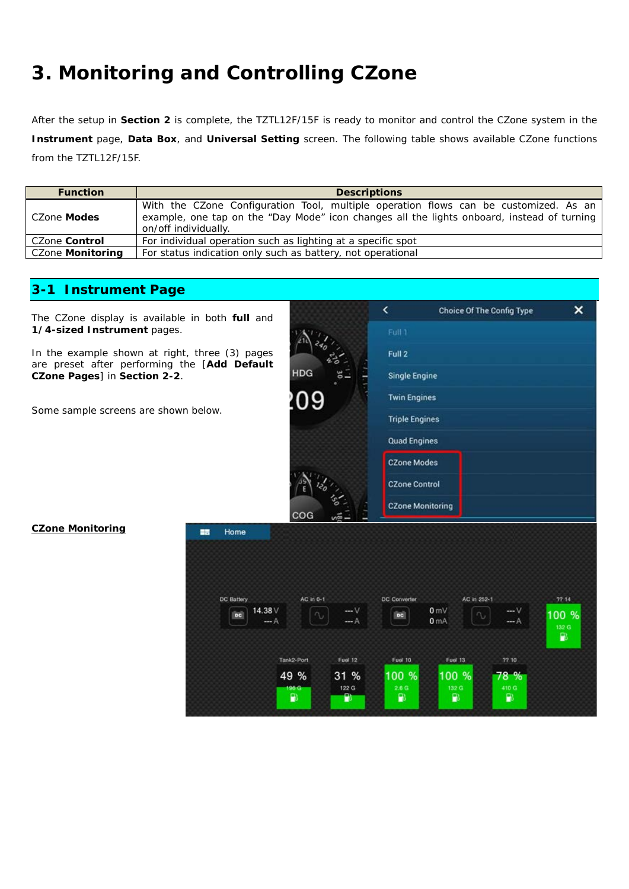# **3. Monitoring and Controlling CZone**

After the setup in **Section 2** is complete, the TZTL12F/15F is ready to monitor and control the CZone system in the **Instrument** page, **Data Box**, and **Universal Setting** screen. The following table shows available CZone functions from the TZTL12F/15F.

| <b>Function</b>  | <b>Descriptions</b>                                                                                                                                                                                        |  |  |  |  |  |
|------------------|------------------------------------------------------------------------------------------------------------------------------------------------------------------------------------------------------------|--|--|--|--|--|
| CZone Modes      | With the CZone Configuration Tool, multiple operation flows can be customized. As an<br>example, one tap on the "Day Mode" icon changes all the lights onboard, instead of turning<br>on/off individually. |  |  |  |  |  |
| CZone Control    | For individual operation such as lighting at a specific spot                                                                                                                                               |  |  |  |  |  |
| CZone Monitoring | For status indication only such as battery, not operational                                                                                                                                                |  |  |  |  |  |

## **3-1 Instrument Page**

The CZone display is available in both **full** and **1/4-sized Instrument** pages.

In the example shown at right, the are preset after performing the **CZone Pages**] in **Section 2-2**.

Some sample screens are shown be

|                       |                               | Full 1                                                                               |  |  |  |  |  |  |  |
|-----------------------|-------------------------------|--------------------------------------------------------------------------------------|--|--|--|--|--|--|--|
| hree (3) pages        |                               | Full 2                                                                               |  |  |  |  |  |  |  |
| [Add Default          | <b>HDG</b>                    | <b>Single Engine</b>                                                                 |  |  |  |  |  |  |  |
|                       | :09                           | <b>Twin Engines</b>                                                                  |  |  |  |  |  |  |  |
| elow.                 |                               | <b>Triple Engines</b>                                                                |  |  |  |  |  |  |  |
|                       |                               | <b>Quad Engines</b>                                                                  |  |  |  |  |  |  |  |
|                       |                               | <b>CZone Modes</b>                                                                   |  |  |  |  |  |  |  |
|                       |                               | <b>CZone Control</b>                                                                 |  |  |  |  |  |  |  |
|                       | cog                           | <b>CZone Monitoring</b>                                                              |  |  |  |  |  |  |  |
| Home<br>ᇔ             |                               |                                                                                      |  |  |  |  |  |  |  |
|                       |                               |                                                                                      |  |  |  |  |  |  |  |
|                       |                               |                                                                                      |  |  |  |  |  |  |  |
| <b>DC Battery</b>     | AC in 0-1                     | <b>DC Converter</b><br>AC in 252-1<br>77.14                                          |  |  |  |  |  |  |  |
| 14.38 V<br>DC<br>-- A | $-V$<br>$n_{\nu}$<br>-- A     | 0 <sub>mV</sub><br>$-V$<br>100 %<br>DC<br>$\sim$<br>0 <sub>mA</sub><br>-- A<br>132 G |  |  |  |  |  |  |  |
|                       |                               | Đ                                                                                    |  |  |  |  |  |  |  |
|                       | <b>Fuel 12</b><br>Tank2-Port  | <b>Fuel 10</b><br>72.10<br><b>Fuel 13</b>                                            |  |  |  |  |  |  |  |
|                       | 49 %<br>31 %<br>122 G<br>96.G | 78 %<br>100 %<br>100 %<br>2.6 <sub>G</sub><br>410 G<br>132 G                         |  |  |  |  |  |  |  |
|                       | $\mathbf{P}$<br>P٥            | $\mathbf{P}$<br>$\mathbf{P}$<br>$\mathbf{P}$                                         |  |  |  |  |  |  |  |
|                       |                               |                                                                                      |  |  |  |  |  |  |  |

k

 $\boldsymbol{\mathsf{x}}$ 

Choice Of The Config Type

#### **CZone Monitoring**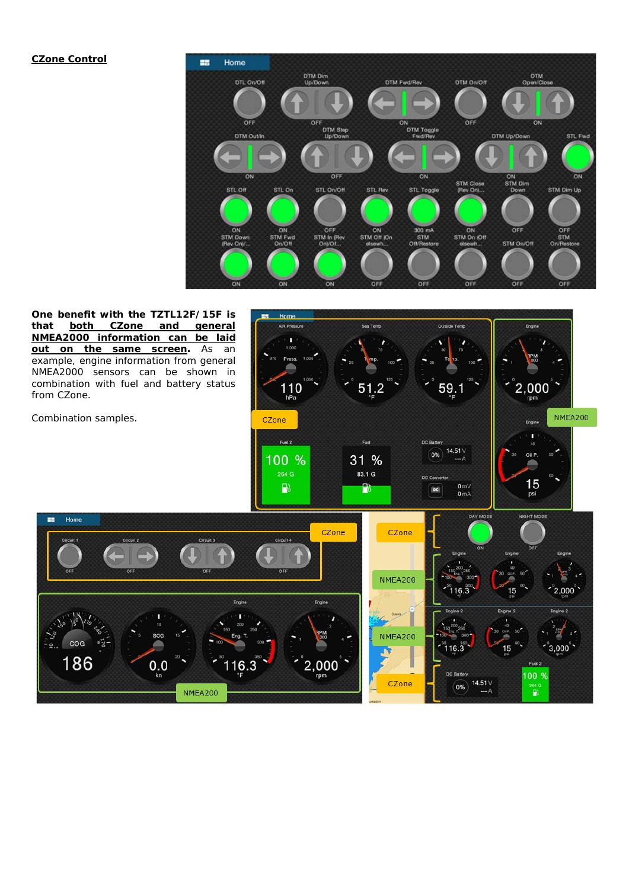#### **CZone Control**



**One benefit with the TZTL12F/15F is that both CZone and general NMEA2000 information can be laid <u>out on the same screen</u>. As an** example, engine information from general NMEA2000 sensors can be shown in combination with fuel and battery status from CZone.

Combination samples.